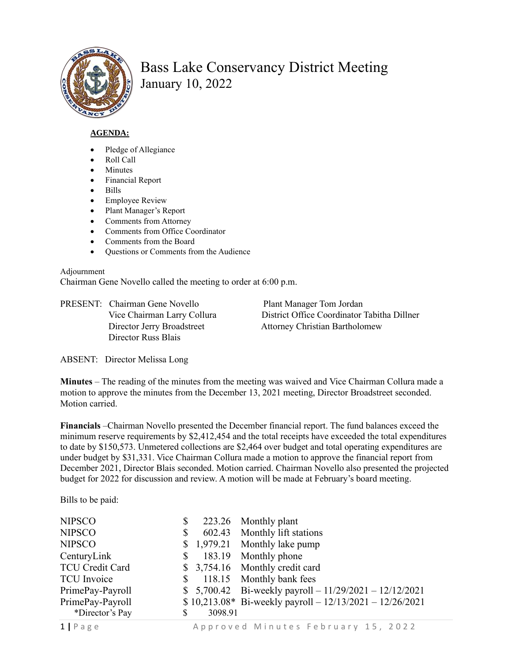

## Bass Lake Conservancy District Meeting January 10, 2022

## **AGENDA:**

- Pledge of Allegiance
- Roll Call
- **Minutes**
- Financial Report
- Bills
- Employee Review
- Plant Manager's Report
- Comments from Attorney
- Comments from Office Coordinator
- Comments from the Board
- Ouestions or Comments from the Audience

## Adjournment

Chairman Gene Novello called the meeting to order at 6:00 p.m.

PRESENT: Chairman Gene Novello Plant Manager Tom Jordan Director Russ Blais

Vice Chairman Larry Collura District Office Coordinator Tabitha Dillner Director Jerry Broadstreet Attorney Christian Bartholomew

ABSENT: Director Melissa Long

**Minutes** – The reading of the minutes from the meeting was waived and Vice Chairman Collura made a motion to approve the minutes from the December 13, 2021 meeting, Director Broadstreet seconded. Motion carried.

**Financials** –Chairman Novello presented the December financial report. The fund balances exceed the minimum reserve requirements by \$2,412,454 and the total receipts have exceeded the total expenditures to date by \$150,573. Unmetered collections are \$2,464 over budget and total operating expenditures are under budget by \$31,331. Vice Chairman Collura made a motion to approve the financial report from December 2021, Director Blais seconded. Motion carried. Chairman Novello also presented the projected budget for 2022 for discussion and review. A motion will be made at February's board meeting.

Bills to be paid:

| <b>NIPSCO</b>      | \$ |         | 223.26 Monthly plant                                        |
|--------------------|----|---------|-------------------------------------------------------------|
| <b>NIPSCO</b>      | \$ |         | 602.43 Monthly lift stations                                |
| <b>NIPSCO</b>      |    |         | \$1,979.21 Monthly lake pump                                |
| CenturyLink        | \$ |         | 183.19 Monthly phone                                        |
| TCU Credit Card    |    |         | \$ 3,754.16 Monthly credit card                             |
| <b>TCU</b> Invoice | \$ |         | 118.15 Monthly bank fees                                    |
| PrimePay-Payroll   |    |         | \$ 5,700.42 Bi-weekly payroll $-11/29/2021 - 12/12/2021$    |
| PrimePay-Payroll   |    |         | $$10,213.08*$ Bi-weekly payroll - $12/13/2021 - 12/26/2021$ |
| *Director's Pay    | S  | 3098.91 |                                                             |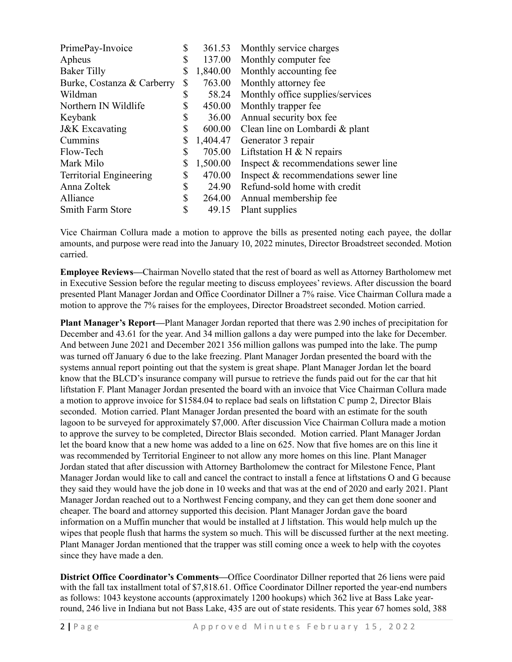| PrimePay-Invoice               | \$<br>361.53   | Monthly service charges              |
|--------------------------------|----------------|--------------------------------------|
| Apheus                         | \$<br>137.00   | Monthly computer fee                 |
| <b>Baker Tilly</b>             | \$<br>1,840.00 | Monthly accounting fee.              |
| Burke, Costanza & Carberry     | \$<br>763.00   | Monthly attorney fee                 |
| Wildman                        | \$<br>58.24    | Monthly office supplies/services     |
| Northern IN Wildlife           | \$<br>450.00   | Monthly trapper fee                  |
| Keybank                        | \$<br>36.00    | Annual security box fee              |
| <b>J&amp;K</b> Excavating      | \$<br>600.00   | Clean line on Lombardi & plant       |
| Cummins                        | \$<br>1,404.47 | Generator 3 repair                   |
| Flow-Tech                      | \$<br>705.00   | Liftstation H $&$ N repairs          |
| Mark Milo                      | \$<br>1,500.00 | Inspect & recommendations sewer line |
| <b>Territorial Engineering</b> | \$<br>470.00   | Inspect & recommendations sewer line |
| Anna Zoltek                    | \$<br>24.90    | Refund-sold home with credit         |
| Alliance                       | \$<br>264.00   | Annual membership fee                |
| <b>Smith Farm Store</b>        | \$<br>49.15    | Plant supplies                       |

Vice Chairman Collura made a motion to approve the bills as presented noting each payee, the dollar amounts, and purpose were read into the January 10, 2022 minutes, Director Broadstreet seconded. Motion carried.

**Employee Reviews—**Chairman Novello stated that the rest of board as well as Attorney Bartholomew met in Executive Session before the regular meeting to discuss employees' reviews. After discussion the board presented Plant Manager Jordan and Office Coordinator Dillner a 7% raise. Vice Chairman Collura made a motion to approve the 7% raises for the employees, Director Broadstreet seconded. Motion carried.

**Plant Manager's Report—**Plant Manager Jordan reported that there was 2.90 inches of precipitation for December and 43.61 for the year. And 34 million gallons a day were pumped into the lake for December. And between June 2021 and December 2021 356 million gallons was pumped into the lake. The pump was turned off January 6 due to the lake freezing. Plant Manager Jordan presented the board with the systems annual report pointing out that the system is great shape. Plant Manager Jordan let the board know that the BLCD's insurance company will pursue to retrieve the funds paid out for the car that hit liftstation F. Plant Manager Jordan presented the board with an invoice that Vice Chairman Collura made a motion to approve invoice for \$1584.04 to replace bad seals on liftstation C pump 2, Director Blais seconded. Motion carried. Plant Manager Jordan presented the board with an estimate for the south lagoon to be surveyed for approximately \$7,000. After discussion Vice Chairman Collura made a motion to approve the survey to be completed, Director Blais seconded. Motion carried. Plant Manager Jordan let the board know that a new home was added to a line on 625. Now that five homes are on this line it was recommended by Territorial Engineer to not allow any more homes on this line. Plant Manager Jordan stated that after discussion with Attorney Bartholomew the contract for Milestone Fence, Plant Manager Jordan would like to call and cancel the contract to install a fence at liftstations O and G because they said they would have the job done in 10 weeks and that was at the end of 2020 and early 2021. Plant Manager Jordan reached out to a Northwest Fencing company, and they can get them done sooner and cheaper. The board and attorney supported this decision. Plant Manager Jordan gave the board information on a Muffin muncher that would be installed at J liftstation. This would help mulch up the wipes that people flush that harms the system so much. This will be discussed further at the next meeting. Plant Manager Jordan mentioned that the trapper was still coming once a week to help with the coyotes since they have made a den.

**District Office Coordinator's Comments—**Office Coordinator Dillner reported that 26 liens were paid with the fall tax installment total of \$7,818.61. Office Coordinator Dillner reported the year-end numbers as follows: 1043 keystone accounts (approximately 1200 hookups) which 362 live at Bass Lake yearround, 246 live in Indiana but not Bass Lake, 435 are out of state residents. This year 67 homes sold, 388